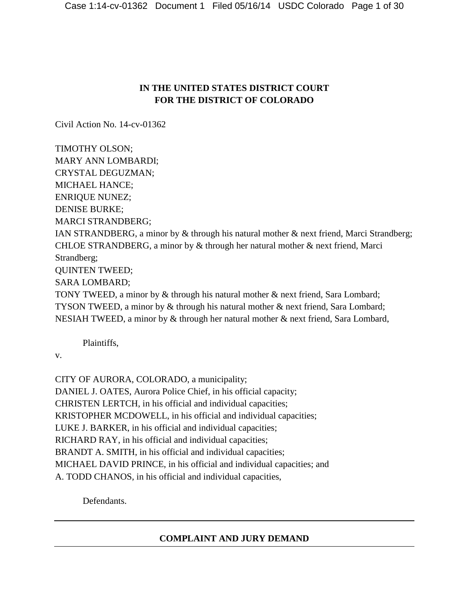# **IN THE UNITED STATES DISTRICT COURT FOR THE DISTRICT OF COLORADO**

Civil Action No. 14-cv-01362

TIMOTHY OLSON; MARY ANN LOMBARDI; CRYSTAL DEGUZMAN; MICHAEL HANCE; ENRIQUE NUNEZ; DENISE BURKE; MARCI STRANDBERG; IAN STRANDBERG, a minor by & through his natural mother & next friend, Marci Strandberg; CHLOE STRANDBERG, a minor by & through her natural mother & next friend, Marci Strandberg; QUINTEN TWEED; SARA LOMBARD; TONY TWEED, a minor by & through his natural mother & next friend, Sara Lombard; TYSON TWEED, a minor by & through his natural mother & next friend, Sara Lombard; NESIAH TWEED, a minor by & through her natural mother & next friend, Sara Lombard,

Plaintiffs,

v.

CITY OF AURORA, COLORADO, a municipality;

DANIEL J. OATES, Aurora Police Chief, in his official capacity; CHRISTEN LERTCH, in his official and individual capacities; KRISTOPHER MCDOWELL, in his official and individual capacities; LUKE J. BARKER, in his official and individual capacities; RICHARD RAY, in his official and individual capacities; BRANDT A. SMITH, in his official and individual capacities; MICHAEL DAVID PRINCE, in his official and individual capacities; and A. TODD CHANOS, in his official and individual capacities,

Defendants.

# **COMPLAINT AND JURY DEMAND**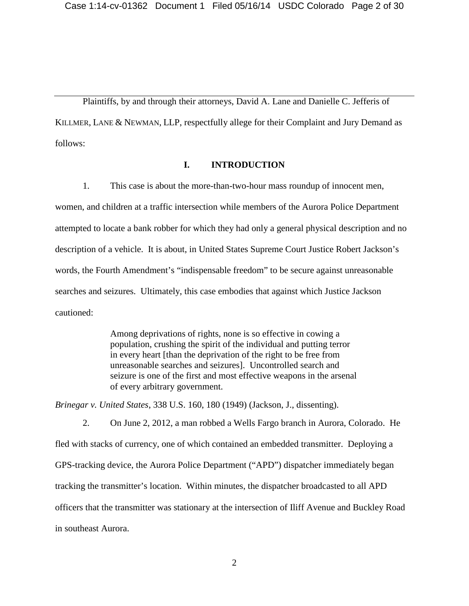Plaintiffs, by and through their attorneys, David A. Lane and Danielle C. Jefferis of KILLMER, LANE & NEWMAN, LLP, respectfully allege for their Complaint and Jury Demand as follows:

### **I. INTRODUCTION**

1. This case is about the more-than-two-hour mass roundup of innocent men, women, and children at a traffic intersection while members of the Aurora Police Department attempted to locate a bank robber for which they had only a general physical description and no description of a vehicle. It is about, in United States Supreme Court Justice Robert Jackson's words, the Fourth Amendment's "indispensable freedom" to be secure against unreasonable searches and seizures. Ultimately, this case embodies that against which Justice Jackson cautioned:

> Among deprivations of rights, none is so effective in cowing a population, crushing the spirit of the individual and putting terror in every heart [than the deprivation of the right to be free from unreasonable searches and seizures]. Uncontrolled search and seizure is one of the first and most effective weapons in the arsenal of every arbitrary government.

*Brinegar v. United States*, 338 U.S. 160, 180 (1949) (Jackson, J., dissenting).

2. On June 2, 2012, a man robbed a Wells Fargo branch in Aurora, Colorado. He fled with stacks of currency, one of which contained an embedded transmitter. Deploying a GPS-tracking device, the Aurora Police Department ("APD") dispatcher immediately began tracking the transmitter's location. Within minutes, the dispatcher broadcasted to all APD officers that the transmitter was stationary at the intersection of Iliff Avenue and Buckley Road in southeast Aurora.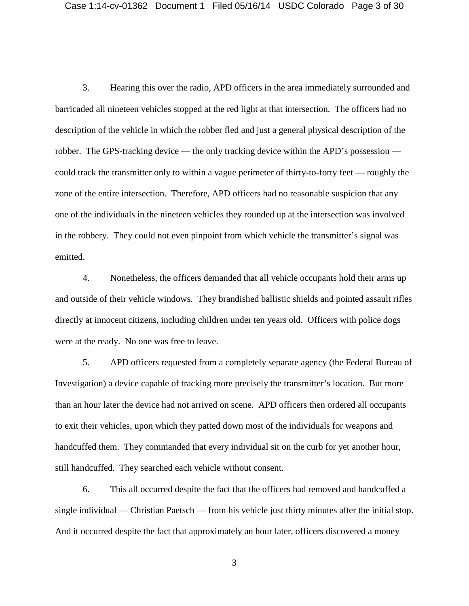3. Hearing this over the radio, APD officers in the area immediately surrounded and barricaded all nineteen vehicles stopped at the red light at that intersection. The officers had no description of the vehicle in which the robber fled and just a general physical description of the robber. The GPS-tracking device — the only tracking device within the APD's possession could track the transmitter only to within a vague perimeter of thirty-to-forty feet — roughly the zone of the entire intersection. Therefore, APD officers had no reasonable suspicion that any one of the individuals in the nineteen vehicles they rounded up at the intersection was involved in the robbery. They could not even pinpoint from which vehicle the transmitter's signal was emitted.

4. Nonetheless, the officers demanded that all vehicle occupants hold their arms up and outside of their vehicle windows. They brandished ballistic shields and pointed assault rifles directly at innocent citizens, including children under ten years old. Officers with police dogs were at the ready. No one was free to leave.

5. APD officers requested from a completely separate agency (the Federal Bureau of Investigation) a device capable of tracking more precisely the transmitter's location. But more than an hour later the device had not arrived on scene. APD officers then ordered all occupants to exit their vehicles, upon which they patted down most of the individuals for weapons and handcuffed them. They commanded that every individual sit on the curb for yet another hour, still handcuffed. They searched each vehicle without consent.

6. This all occurred despite the fact that the officers had removed and handcuffed a single individual — Christian Paetsch — from his vehicle just thirty minutes after the initial stop. And it occurred despite the fact that approximately an hour later, officers discovered a money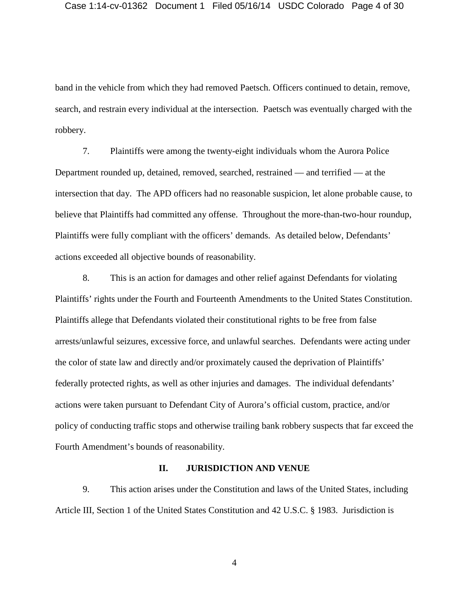band in the vehicle from which they had removed Paetsch. Officers continued to detain, remove, search, and restrain every individual at the intersection. Paetsch was eventually charged with the robbery.

7. Plaintiffs were among the twenty-eight individuals whom the Aurora Police Department rounded up, detained, removed, searched, restrained — and terrified — at the intersection that day. The APD officers had no reasonable suspicion, let alone probable cause, to believe that Plaintiffs had committed any offense. Throughout the more-than-two-hour roundup, Plaintiffs were fully compliant with the officers' demands. As detailed below, Defendants' actions exceeded all objective bounds of reasonability.

8. This is an action for damages and other relief against Defendants for violating Plaintiffs' rights under the Fourth and Fourteenth Amendments to the United States Constitution. Plaintiffs allege that Defendants violated their constitutional rights to be free from false arrests/unlawful seizures, excessive force, and unlawful searches. Defendants were acting under the color of state law and directly and/or proximately caused the deprivation of Plaintiffs' federally protected rights, as well as other injuries and damages. The individual defendants' actions were taken pursuant to Defendant City of Aurora's official custom, practice, and/or policy of conducting traffic stops and otherwise trailing bank robbery suspects that far exceed the Fourth Amendment's bounds of reasonability.

### **II. JURISDICTION AND VENUE**

9. This action arises under the Constitution and laws of the United States, including Article III, Section 1 of the United States Constitution and 42 U.S.C. § 1983. Jurisdiction is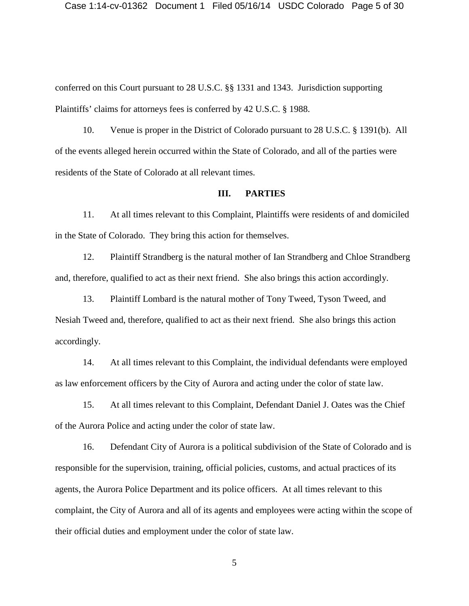conferred on this Court pursuant to 28 U.S.C. §§ 1331 and 1343. Jurisdiction supporting Plaintiffs' claims for attorneys fees is conferred by 42 U.S.C. § 1988.

10. Venue is proper in the District of Colorado pursuant to 28 U.S.C. § 1391(b). All of the events alleged herein occurred within the State of Colorado, and all of the parties were residents of the State of Colorado at all relevant times.

### **III. PARTIES**

11. At all times relevant to this Complaint, Plaintiffs were residents of and domiciled in the State of Colorado. They bring this action for themselves.

12. Plaintiff Strandberg is the natural mother of Ian Strandberg and Chloe Strandberg and, therefore, qualified to act as their next friend. She also brings this action accordingly.

13. Plaintiff Lombard is the natural mother of Tony Tweed, Tyson Tweed, and Nesiah Tweed and, therefore, qualified to act as their next friend. She also brings this action accordingly.

14. At all times relevant to this Complaint, the individual defendants were employed as law enforcement officers by the City of Aurora and acting under the color of state law.

15. At all times relevant to this Complaint, Defendant Daniel J. Oates was the Chief of the Aurora Police and acting under the color of state law.

16. Defendant City of Aurora is a political subdivision of the State of Colorado and is responsible for the supervision, training, official policies, customs, and actual practices of its agents, the Aurora Police Department and its police officers. At all times relevant to this complaint, the City of Aurora and all of its agents and employees were acting within the scope of their official duties and employment under the color of state law.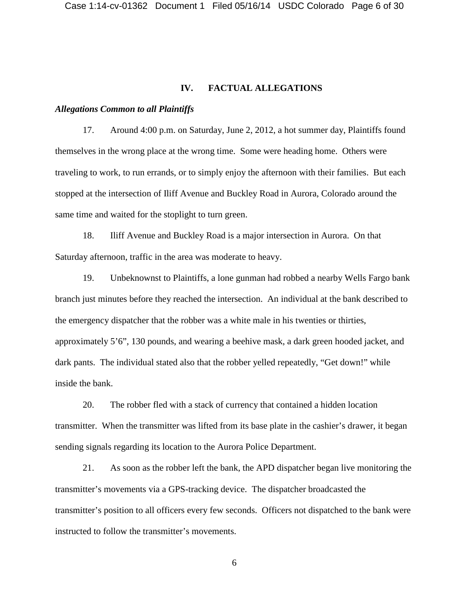## **IV. FACTUAL ALLEGATIONS**

#### *Allegations Common to all Plaintiffs*

17. Around 4:00 p.m. on Saturday, June 2, 2012, a hot summer day, Plaintiffs found themselves in the wrong place at the wrong time. Some were heading home. Others were traveling to work, to run errands, or to simply enjoy the afternoon with their families. But each stopped at the intersection of Iliff Avenue and Buckley Road in Aurora, Colorado around the same time and waited for the stoplight to turn green.

18. Iliff Avenue and Buckley Road is a major intersection in Aurora. On that Saturday afternoon, traffic in the area was moderate to heavy.

19. Unbeknownst to Plaintiffs, a lone gunman had robbed a nearby Wells Fargo bank branch just minutes before they reached the intersection. An individual at the bank described to the emergency dispatcher that the robber was a white male in his twenties or thirties, approximately 5'6", 130 pounds, and wearing a beehive mask, a dark green hooded jacket, and dark pants. The individual stated also that the robber yelled repeatedly, "Get down!" while inside the bank.

20. The robber fled with a stack of currency that contained a hidden location transmitter. When the transmitter was lifted from its base plate in the cashier's drawer, it began sending signals regarding its location to the Aurora Police Department.

21. As soon as the robber left the bank, the APD dispatcher began live monitoring the transmitter's movements via a GPS-tracking device. The dispatcher broadcasted the transmitter's position to all officers every few seconds. Officers not dispatched to the bank were instructed to follow the transmitter's movements.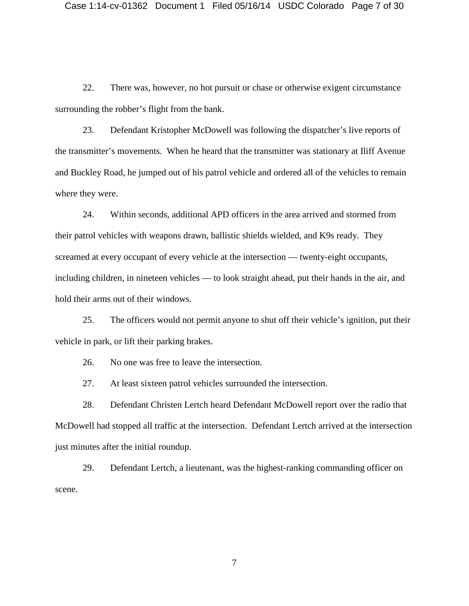22. There was, however, no hot pursuit or chase or otherwise exigent circumstance surrounding the robber's flight from the bank.

23. Defendant Kristopher McDowell was following the dispatcher's live reports of the transmitter's movements. When he heard that the transmitter was stationary at Iliff Avenue and Buckley Road, he jumped out of his patrol vehicle and ordered all of the vehicles to remain where they were.

24. Within seconds, additional APD officers in the area arrived and stormed from their patrol vehicles with weapons drawn, ballistic shields wielded, and K9s ready. They screamed at every occupant of every vehicle at the intersection — twenty-eight occupants, including children, in nineteen vehicles — to look straight ahead, put their hands in the air, and hold their arms out of their windows.

25. The officers would not permit anyone to shut off their vehicle's ignition, put their vehicle in park, or lift their parking brakes.

26. No one was free to leave the intersection.

27. At least sixteen patrol vehicles surrounded the intersection.

28. Defendant Christen Lertch heard Defendant McDowell report over the radio that McDowell had stopped all traffic at the intersection. Defendant Lertch arrived at the intersection just minutes after the initial roundup.

29. Defendant Lertch, a lieutenant, was the highest-ranking commanding officer on scene.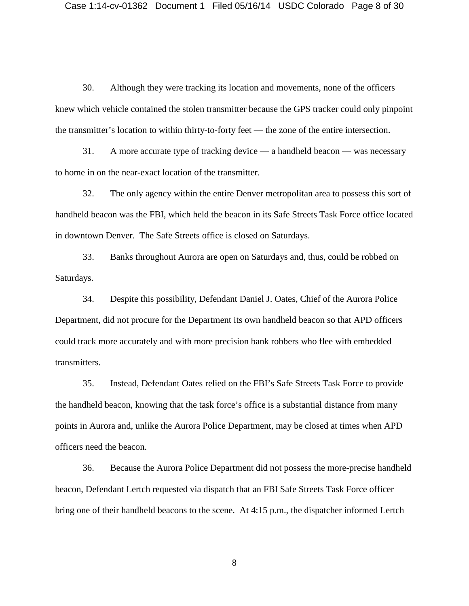30. Although they were tracking its location and movements, none of the officers knew which vehicle contained the stolen transmitter because the GPS tracker could only pinpoint the transmitter's location to within thirty-to-forty feet — the zone of the entire intersection.

31. A more accurate type of tracking device — a handheld beacon — was necessary to home in on the near-exact location of the transmitter.

32. The only agency within the entire Denver metropolitan area to possess this sort of handheld beacon was the FBI, which held the beacon in its Safe Streets Task Force office located in downtown Denver. The Safe Streets office is closed on Saturdays.

33. Banks throughout Aurora are open on Saturdays and, thus, could be robbed on Saturdays.

34. Despite this possibility, Defendant Daniel J. Oates, Chief of the Aurora Police Department, did not procure for the Department its own handheld beacon so that APD officers could track more accurately and with more precision bank robbers who flee with embedded transmitters.

35. Instead, Defendant Oates relied on the FBI's Safe Streets Task Force to provide the handheld beacon, knowing that the task force's office is a substantial distance from many points in Aurora and, unlike the Aurora Police Department, may be closed at times when APD officers need the beacon.

36. Because the Aurora Police Department did not possess the more-precise handheld beacon, Defendant Lertch requested via dispatch that an FBI Safe Streets Task Force officer bring one of their handheld beacons to the scene. At 4:15 p.m., the dispatcher informed Lertch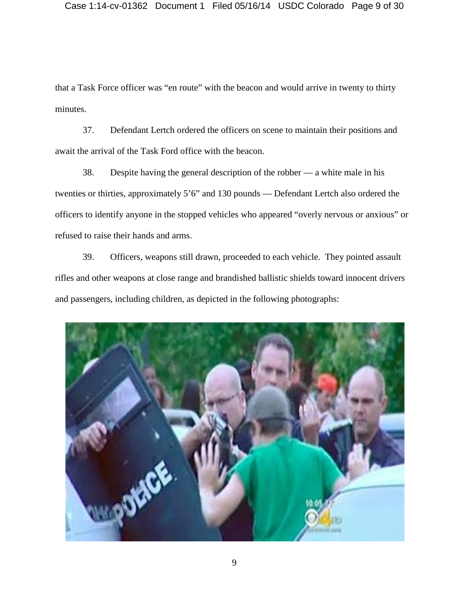that a Task Force officer was "en route" with the beacon and would arrive in twenty to thirty minutes.

37. Defendant Lertch ordered the officers on scene to maintain their positions and await the arrival of the Task Ford office with the beacon.

38. Despite having the general description of the robber — a white male in his twenties or thirties, approximately 5'6" and 130 pounds — Defendant Lertch also ordered the officers to identify anyone in the stopped vehicles who appeared "overly nervous or anxious" or refused to raise their hands and arms.

39. Officers, weapons still drawn, proceeded to each vehicle. They pointed assault rifles and other weapons at close range and brandished ballistic shields toward innocent drivers and passengers, including children, as depicted in the following photographs:

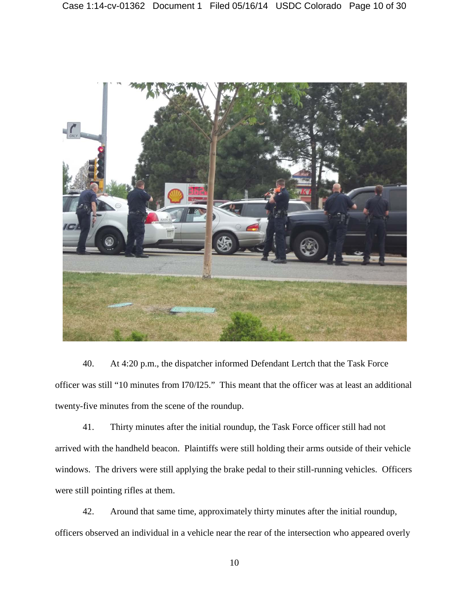

40. At 4:20 p.m., the dispatcher informed Defendant Lertch that the Task Force officer was still "10 minutes from I70/I25." This meant that the officer was at least an additional twenty-five minutes from the scene of the roundup.

41. Thirty minutes after the initial roundup, the Task Force officer still had not arrived with the handheld beacon. Plaintiffs were still holding their arms outside of their vehicle windows. The drivers were still applying the brake pedal to their still-running vehicles. Officers were still pointing rifles at them.

42. Around that same time, approximately thirty minutes after the initial roundup, officers observed an individual in a vehicle near the rear of the intersection who appeared overly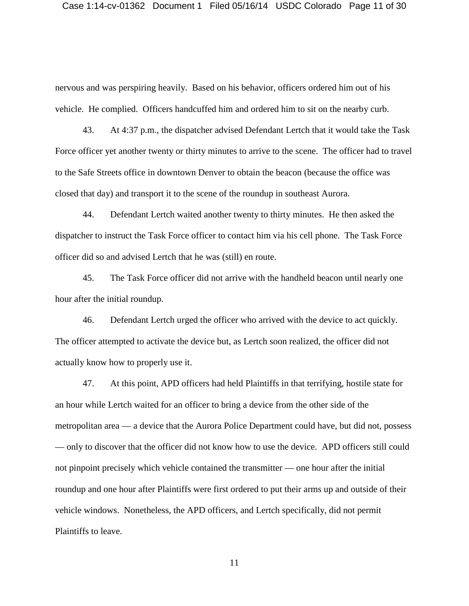nervous and was perspiring heavily. Based on his behavior, officers ordered him out of his vehicle. He complied. Officers handcuffed him and ordered him to sit on the nearby curb.

43. At 4:37 p.m., the dispatcher advised Defendant Lertch that it would take the Task Force officer yet another twenty or thirty minutes to arrive to the scene. The officer had to travel to the Safe Streets office in downtown Denver to obtain the beacon (because the office was closed that day) and transport it to the scene of the roundup in southeast Aurora.

44. Defendant Lertch waited another twenty to thirty minutes. He then asked the dispatcher to instruct the Task Force officer to contact him via his cell phone. The Task Force officer did so and advised Lertch that he was (still) en route.

45. The Task Force officer did not arrive with the handheld beacon until nearly one hour after the initial roundup.

46. Defendant Lertch urged the officer who arrived with the device to act quickly. The officer attempted to activate the device but, as Lertch soon realized, the officer did not actually know how to properly use it.

47. At this point, APD officers had held Plaintiffs in that terrifying, hostile state for an hour while Lertch waited for an officer to bring a device from the other side of the metropolitan area — a device that the Aurora Police Department could have, but did not, possess — only to discover that the officer did not know how to use the device. APD officers still could not pinpoint precisely which vehicle contained the transmitter — one hour after the initial roundup and one hour after Plaintiffs were first ordered to put their arms up and outside of their vehicle windows. Nonetheless, the APD officers, and Lertch specifically, did not permit Plaintiffs to leave.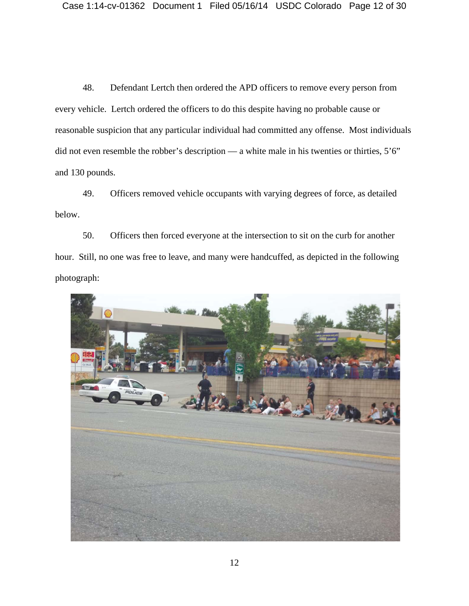48. Defendant Lertch then ordered the APD officers to remove every person from every vehicle. Lertch ordered the officers to do this despite having no probable cause or reasonable suspicion that any particular individual had committed any offense. Most individuals did not even resemble the robber's description — a white male in his twenties or thirties, 5'6" and 130 pounds.

49. Officers removed vehicle occupants with varying degrees of force, as detailed below.

50. Officers then forced everyone at the intersection to sit on the curb for another hour. Still, no one was free to leave, and many were handcuffed, as depicted in the following photograph:

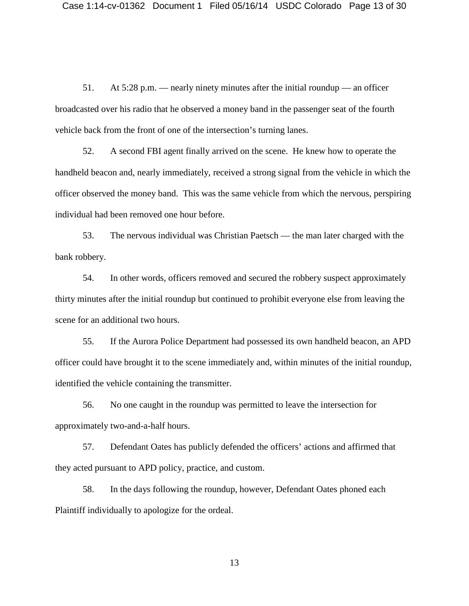51. At 5:28 p.m. — nearly ninety minutes after the initial roundup — an officer broadcasted over his radio that he observed a money band in the passenger seat of the fourth vehicle back from the front of one of the intersection's turning lanes.

52. A second FBI agent finally arrived on the scene. He knew how to operate the handheld beacon and, nearly immediately, received a strong signal from the vehicle in which the officer observed the money band. This was the same vehicle from which the nervous, perspiring individual had been removed one hour before.

53. The nervous individual was Christian Paetsch — the man later charged with the bank robbery.

54. In other words, officers removed and secured the robbery suspect approximately thirty minutes after the initial roundup but continued to prohibit everyone else from leaving the scene for an additional two hours.

55. If the Aurora Police Department had possessed its own handheld beacon, an APD officer could have brought it to the scene immediately and, within minutes of the initial roundup, identified the vehicle containing the transmitter.

56. No one caught in the roundup was permitted to leave the intersection for approximately two-and-a-half hours.

57. Defendant Oates has publicly defended the officers' actions and affirmed that they acted pursuant to APD policy, practice, and custom.

58. In the days following the roundup, however, Defendant Oates phoned each Plaintiff individually to apologize for the ordeal.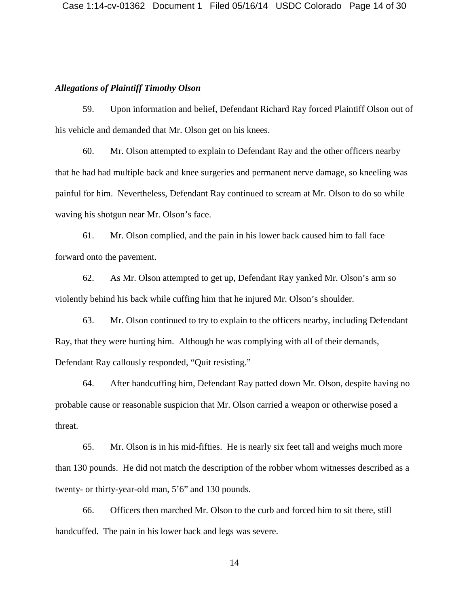### *Allegations of Plaintiff Timothy Olson*

59. Upon information and belief, Defendant Richard Ray forced Plaintiff Olson out of his vehicle and demanded that Mr. Olson get on his knees.

60. Mr. Olson attempted to explain to Defendant Ray and the other officers nearby that he had had multiple back and knee surgeries and permanent nerve damage, so kneeling was painful for him. Nevertheless, Defendant Ray continued to scream at Mr. Olson to do so while waving his shotgun near Mr. Olson's face.

61. Mr. Olson complied, and the pain in his lower back caused him to fall face forward onto the pavement.

62. As Mr. Olson attempted to get up, Defendant Ray yanked Mr. Olson's arm so violently behind his back while cuffing him that he injured Mr. Olson's shoulder.

63. Mr. Olson continued to try to explain to the officers nearby, including Defendant Ray, that they were hurting him. Although he was complying with all of their demands, Defendant Ray callously responded, "Quit resisting."

64. After handcuffing him, Defendant Ray patted down Mr. Olson, despite having no probable cause or reasonable suspicion that Mr. Olson carried a weapon or otherwise posed a threat.

65. Mr. Olson is in his mid-fifties. He is nearly six feet tall and weighs much more than 130 pounds. He did not match the description of the robber whom witnesses described as a twenty- or thirty-year-old man, 5'6" and 130 pounds.

66. Officers then marched Mr. Olson to the curb and forced him to sit there, still handcuffed. The pain in his lower back and legs was severe.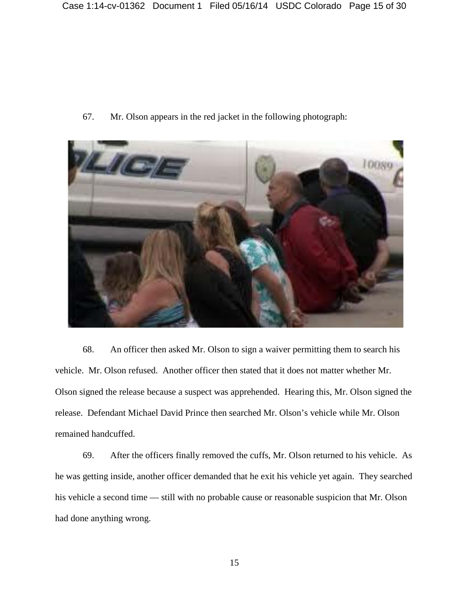67. Mr. Olson appears in the red jacket in the following photograph:



68. An officer then asked Mr. Olson to sign a waiver permitting them to search his vehicle. Mr. Olson refused. Another officer then stated that it does not matter whether Mr. Olson signed the release because a suspect was apprehended. Hearing this, Mr. Olson signed the release. Defendant Michael David Prince then searched Mr. Olson's vehicle while Mr. Olson remained handcuffed.

69. After the officers finally removed the cuffs, Mr. Olson returned to his vehicle. As he was getting inside, another officer demanded that he exit his vehicle yet again. They searched his vehicle a second time — still with no probable cause or reasonable suspicion that Mr. Olson had done anything wrong.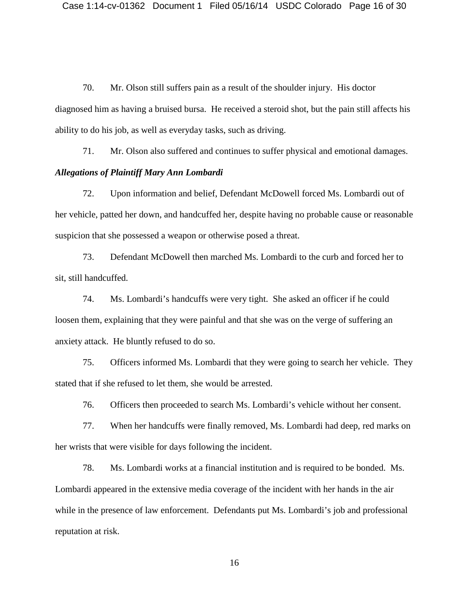70. Mr. Olson still suffers pain as a result of the shoulder injury. His doctor diagnosed him as having a bruised bursa. He received a steroid shot, but the pain still affects his ability to do his job, as well as everyday tasks, such as driving.

71. Mr. Olson also suffered and continues to suffer physical and emotional damages.

# *Allegations of Plaintiff Mary Ann Lombardi*

72. Upon information and belief, Defendant McDowell forced Ms. Lombardi out of her vehicle, patted her down, and handcuffed her, despite having no probable cause or reasonable suspicion that she possessed a weapon or otherwise posed a threat.

73. Defendant McDowell then marched Ms. Lombardi to the curb and forced her to sit, still handcuffed.

74. Ms. Lombardi's handcuffs were very tight. She asked an officer if he could loosen them, explaining that they were painful and that she was on the verge of suffering an anxiety attack. He bluntly refused to do so.

75. Officers informed Ms. Lombardi that they were going to search her vehicle. They stated that if she refused to let them, she would be arrested.

76. Officers then proceeded to search Ms. Lombardi's vehicle without her consent.

77. When her handcuffs were finally removed, Ms. Lombardi had deep, red marks on her wrists that were visible for days following the incident.

78. Ms. Lombardi works at a financial institution and is required to be bonded. Ms. Lombardi appeared in the extensive media coverage of the incident with her hands in the air while in the presence of law enforcement. Defendants put Ms. Lombardi's job and professional reputation at risk.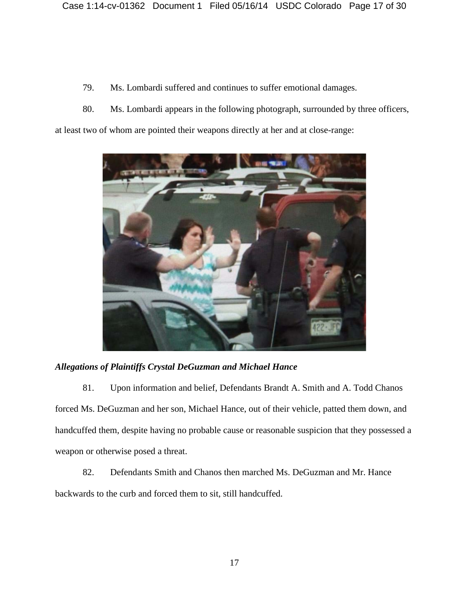- 79. Ms. Lombardi suffered and continues to suffer emotional damages.
- 80. Ms. Lombardi appears in the following photograph, surrounded by three officers,

at least two of whom are pointed their weapons directly at her and at close-range:



# *Allegations of Plaintiffs Crystal DeGuzman and Michael Hance*

81. Upon information and belief, Defendants Brandt A. Smith and A. Todd Chanos forced Ms. DeGuzman and her son, Michael Hance, out of their vehicle, patted them down, and handcuffed them, despite having no probable cause or reasonable suspicion that they possessed a weapon or otherwise posed a threat.

82. Defendants Smith and Chanos then marched Ms. DeGuzman and Mr. Hance backwards to the curb and forced them to sit, still handcuffed.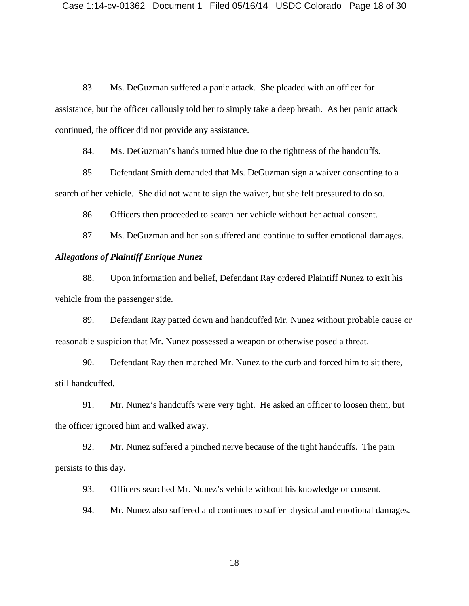83. Ms. DeGuzman suffered a panic attack. She pleaded with an officer for assistance, but the officer callously told her to simply take a deep breath. As her panic attack continued, the officer did not provide any assistance.

84. Ms. DeGuzman's hands turned blue due to the tightness of the handcuffs.

85. Defendant Smith demanded that Ms. DeGuzman sign a waiver consenting to a search of her vehicle. She did not want to sign the waiver, but she felt pressured to do so.

86. Officers then proceeded to search her vehicle without her actual consent.

87. Ms. DeGuzman and her son suffered and continue to suffer emotional damages.

#### *Allegations of Plaintiff Enrique Nunez*

88. Upon information and belief, Defendant Ray ordered Plaintiff Nunez to exit his vehicle from the passenger side.

89. Defendant Ray patted down and handcuffed Mr. Nunez without probable cause or reasonable suspicion that Mr. Nunez possessed a weapon or otherwise posed a threat.

90. Defendant Ray then marched Mr. Nunez to the curb and forced him to sit there, still handcuffed.

91. Mr. Nunez's handcuffs were very tight. He asked an officer to loosen them, but the officer ignored him and walked away.

92. Mr. Nunez suffered a pinched nerve because of the tight handcuffs. The pain persists to this day.

93. Officers searched Mr. Nunez's vehicle without his knowledge or consent.

94. Mr. Nunez also suffered and continues to suffer physical and emotional damages.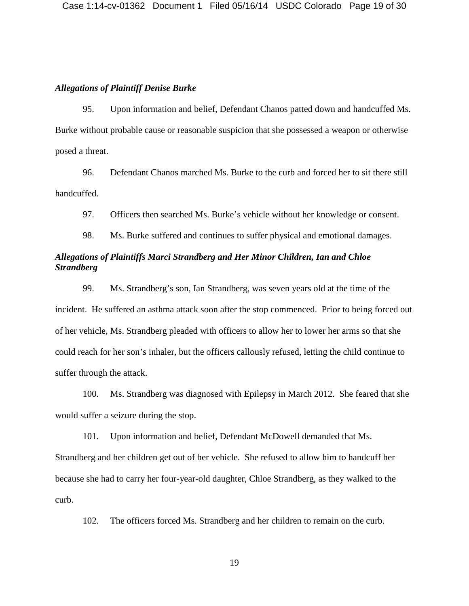### *Allegations of Plaintiff Denise Burke*

95. Upon information and belief, Defendant Chanos patted down and handcuffed Ms. Burke without probable cause or reasonable suspicion that she possessed a weapon or otherwise posed a threat.

96. Defendant Chanos marched Ms. Burke to the curb and forced her to sit there still handcuffed.

97. Officers then searched Ms. Burke's vehicle without her knowledge or consent.

98. Ms. Burke suffered and continues to suffer physical and emotional damages.

# *Allegations of Plaintiffs Marci Strandberg and Her Minor Children, Ian and Chloe Strandberg*

99. Ms. Strandberg's son, Ian Strandberg, was seven years old at the time of the incident. He suffered an asthma attack soon after the stop commenced. Prior to being forced out of her vehicle, Ms. Strandberg pleaded with officers to allow her to lower her arms so that she could reach for her son's inhaler, but the officers callously refused, letting the child continue to suffer through the attack.

100. Ms. Strandberg was diagnosed with Epilepsy in March 2012. She feared that she would suffer a seizure during the stop.

101. Upon information and belief, Defendant McDowell demanded that Ms. Strandberg and her children get out of her vehicle. She refused to allow him to handcuff her because she had to carry her four-year-old daughter, Chloe Strandberg, as they walked to the curb.

102. The officers forced Ms. Strandberg and her children to remain on the curb.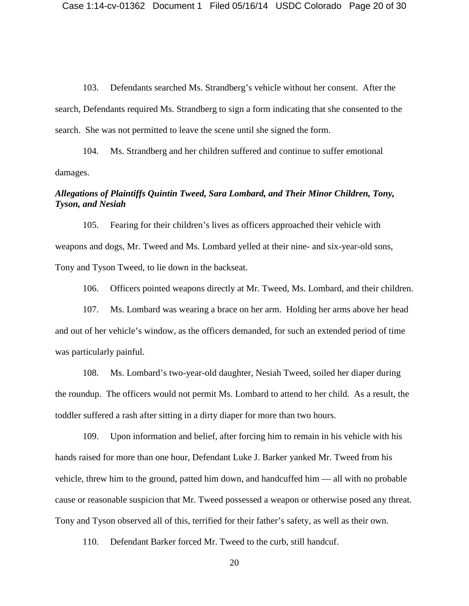103. Defendants searched Ms. Strandberg's vehicle without her consent. After the search, Defendants required Ms. Strandberg to sign a form indicating that she consented to the search. She was not permitted to leave the scene until she signed the form.

104. Ms. Strandberg and her children suffered and continue to suffer emotional damages.

# *Allegations of Plaintiffs Quintin Tweed, Sara Lombard, and Their Minor Children, Tony, Tyson, and Nesiah*

105. Fearing for their children's lives as officers approached their vehicle with weapons and dogs, Mr. Tweed and Ms. Lombard yelled at their nine- and six-year-old sons, Tony and Tyson Tweed, to lie down in the backseat.

106. Officers pointed weapons directly at Mr. Tweed, Ms. Lombard, and their children.

107. Ms. Lombard was wearing a brace on her arm. Holding her arms above her head and out of her vehicle's window, as the officers demanded, for such an extended period of time was particularly painful.

108. Ms. Lombard's two-year-old daughter, Nesiah Tweed, soiled her diaper during the roundup. The officers would not permit Ms. Lombard to attend to her child. As a result, the toddler suffered a rash after sitting in a dirty diaper for more than two hours.

109. Upon information and belief, after forcing him to remain in his vehicle with his hands raised for more than one hour, Defendant Luke J. Barker yanked Mr. Tweed from his vehicle, threw him to the ground, patted him down, and handcuffed him — all with no probable cause or reasonable suspicion that Mr. Tweed possessed a weapon or otherwise posed any threat. Tony and Tyson observed all of this, terrified for their father's safety, as well as their own.

110. Defendant Barker forced Mr. Tweed to the curb, still handcuf.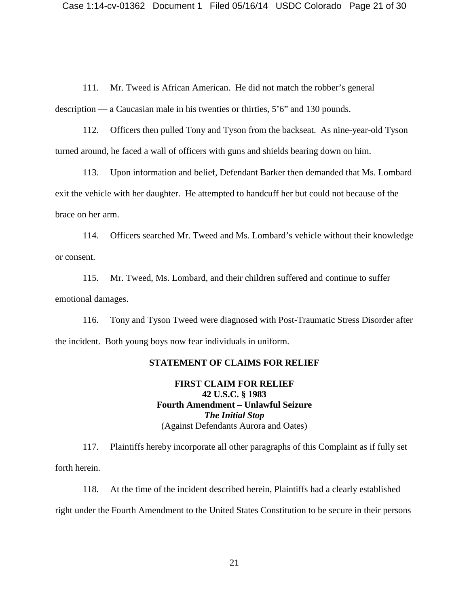111. Mr. Tweed is African American. He did not match the robber's general description — a Caucasian male in his twenties or thirties, 5'6" and 130 pounds.

112. Officers then pulled Tony and Tyson from the backseat. As nine-year-old Tyson turned around, he faced a wall of officers with guns and shields bearing down on him.

113. Upon information and belief, Defendant Barker then demanded that Ms. Lombard exit the vehicle with her daughter. He attempted to handcuff her but could not because of the brace on her arm.

114. Officers searched Mr. Tweed and Ms. Lombard's vehicle without their knowledge or consent.

115. Mr. Tweed, Ms. Lombard, and their children suffered and continue to suffer emotional damages.

116. Tony and Tyson Tweed were diagnosed with Post-Traumatic Stress Disorder after the incident. Both young boys now fear individuals in uniform.

### **STATEMENT OF CLAIMS FOR RELIEF**

**FIRST CLAIM FOR RELIEF 42 U.S.C. § 1983 Fourth Amendment – Unlawful Seizure** *The Initial Stop* (Against Defendants Aurora and Oates)

117. Plaintiffs hereby incorporate all other paragraphs of this Complaint as if fully set forth herein.

118. At the time of the incident described herein, Plaintiffs had a clearly established right under the Fourth Amendment to the United States Constitution to be secure in their persons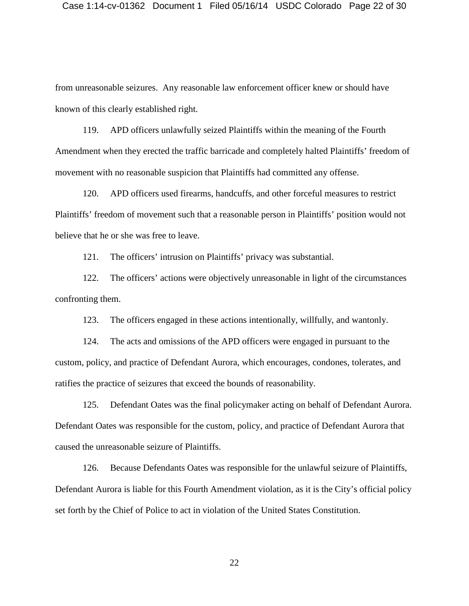from unreasonable seizures. Any reasonable law enforcement officer knew or should have known of this clearly established right.

119. APD officers unlawfully seized Plaintiffs within the meaning of the Fourth Amendment when they erected the traffic barricade and completely halted Plaintiffs' freedom of movement with no reasonable suspicion that Plaintiffs had committed any offense.

120. APD officers used firearms, handcuffs, and other forceful measures to restrict Plaintiffs' freedom of movement such that a reasonable person in Plaintiffs' position would not believe that he or she was free to leave.

121. The officers' intrusion on Plaintiffs' privacy was substantial.

122. The officers' actions were objectively unreasonable in light of the circumstances confronting them.

123. The officers engaged in these actions intentionally, willfully, and wantonly.

124. The acts and omissions of the APD officers were engaged in pursuant to the custom, policy, and practice of Defendant Aurora, which encourages, condones, tolerates, and ratifies the practice of seizures that exceed the bounds of reasonability.

125. Defendant Oates was the final policymaker acting on behalf of Defendant Aurora. Defendant Oates was responsible for the custom, policy, and practice of Defendant Aurora that caused the unreasonable seizure of Plaintiffs.

126. Because Defendants Oates was responsible for the unlawful seizure of Plaintiffs, Defendant Aurora is liable for this Fourth Amendment violation, as it is the City's official policy set forth by the Chief of Police to act in violation of the United States Constitution.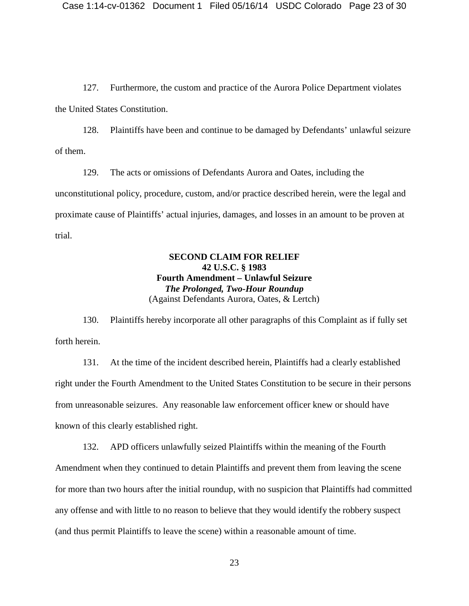127. Furthermore, the custom and practice of the Aurora Police Department violates the United States Constitution.

128. Plaintiffs have been and continue to be damaged by Defendants' unlawful seizure of them.

129. The acts or omissions of Defendants Aurora and Oates, including the unconstitutional policy, procedure, custom, and/or practice described herein, were the legal and proximate cause of Plaintiffs' actual injuries, damages, and losses in an amount to be proven at trial.

# **SECOND CLAIM FOR RELIEF 42 U.S.C. § 1983 Fourth Amendment – Unlawful Seizure** *The Prolonged, Two-Hour Roundup* (Against Defendants Aurora, Oates, & Lertch)

130. Plaintiffs hereby incorporate all other paragraphs of this Complaint as if fully set forth herein.

131. At the time of the incident described herein, Plaintiffs had a clearly established right under the Fourth Amendment to the United States Constitution to be secure in their persons from unreasonable seizures. Any reasonable law enforcement officer knew or should have known of this clearly established right.

132. APD officers unlawfully seized Plaintiffs within the meaning of the Fourth Amendment when they continued to detain Plaintiffs and prevent them from leaving the scene for more than two hours after the initial roundup, with no suspicion that Plaintiffs had committed any offense and with little to no reason to believe that they would identify the robbery suspect (and thus permit Plaintiffs to leave the scene) within a reasonable amount of time.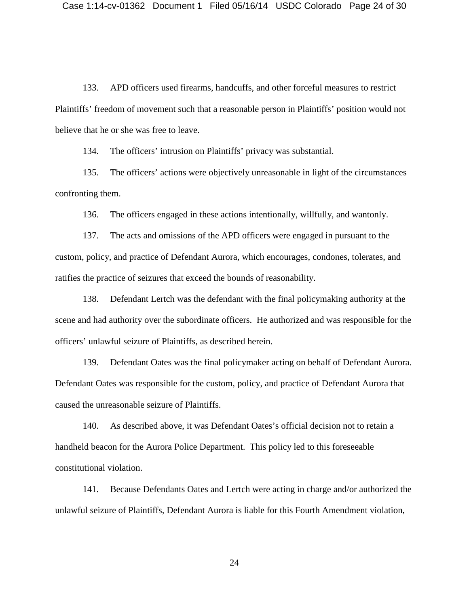133. APD officers used firearms, handcuffs, and other forceful measures to restrict Plaintiffs' freedom of movement such that a reasonable person in Plaintiffs' position would not believe that he or she was free to leave.

134. The officers' intrusion on Plaintiffs' privacy was substantial.

135. The officers' actions were objectively unreasonable in light of the circumstances confronting them.

136. The officers engaged in these actions intentionally, willfully, and wantonly.

137. The acts and omissions of the APD officers were engaged in pursuant to the custom, policy, and practice of Defendant Aurora, which encourages, condones, tolerates, and ratifies the practice of seizures that exceed the bounds of reasonability.

138. Defendant Lertch was the defendant with the final policymaking authority at the scene and had authority over the subordinate officers. He authorized and was responsible for the officers' unlawful seizure of Plaintiffs, as described herein.

139. Defendant Oates was the final policymaker acting on behalf of Defendant Aurora. Defendant Oates was responsible for the custom, policy, and practice of Defendant Aurora that caused the unreasonable seizure of Plaintiffs.

140. As described above, it was Defendant Oates's official decision not to retain a handheld beacon for the Aurora Police Department. This policy led to this foreseeable constitutional violation.

141. Because Defendants Oates and Lertch were acting in charge and/or authorized the unlawful seizure of Plaintiffs, Defendant Aurora is liable for this Fourth Amendment violation,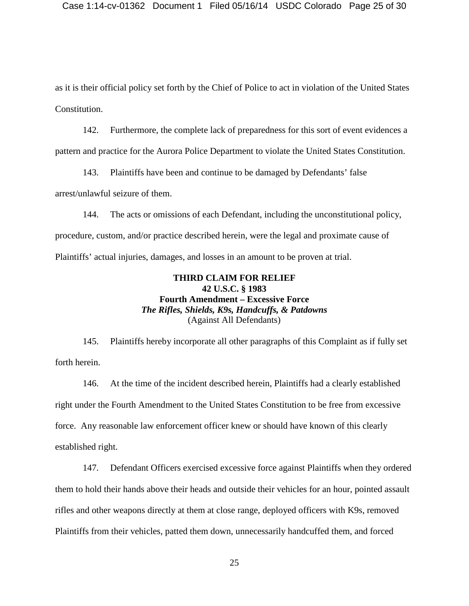as it is their official policy set forth by the Chief of Police to act in violation of the United States Constitution.

142. Furthermore, the complete lack of preparedness for this sort of event evidences a pattern and practice for the Aurora Police Department to violate the United States Constitution.

143. Plaintiffs have been and continue to be damaged by Defendants' false arrest/unlawful seizure of them.

144. The acts or omissions of each Defendant, including the unconstitutional policy, procedure, custom, and/or practice described herein, were the legal and proximate cause of Plaintiffs' actual injuries, damages, and losses in an amount to be proven at trial.

# **THIRD CLAIM FOR RELIEF 42 U.S.C. § 1983 Fourth Amendment – Excessive Force** *The Rifles, Shields, K9s, Handcuffs, & Patdowns* (Against All Defendants)

145. Plaintiffs hereby incorporate all other paragraphs of this Complaint as if fully set forth herein.

146. At the time of the incident described herein, Plaintiffs had a clearly established right under the Fourth Amendment to the United States Constitution to be free from excessive force. Any reasonable law enforcement officer knew or should have known of this clearly established right.

147. Defendant Officers exercised excessive force against Plaintiffs when they ordered them to hold their hands above their heads and outside their vehicles for an hour, pointed assault rifles and other weapons directly at them at close range, deployed officers with K9s, removed Plaintiffs from their vehicles, patted them down, unnecessarily handcuffed them, and forced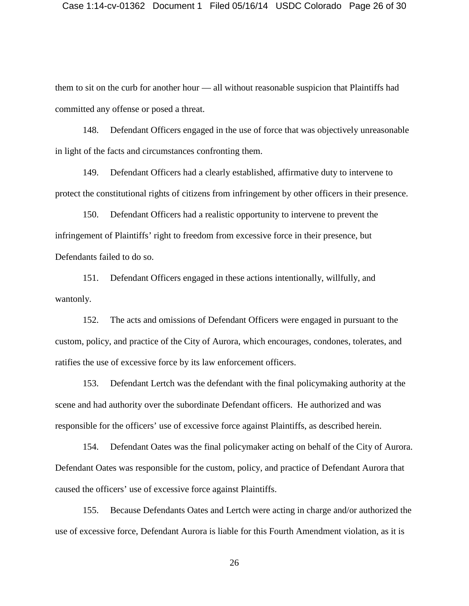them to sit on the curb for another hour — all without reasonable suspicion that Plaintiffs had committed any offense or posed a threat.

148. Defendant Officers engaged in the use of force that was objectively unreasonable in light of the facts and circumstances confronting them.

149. Defendant Officers had a clearly established, affirmative duty to intervene to protect the constitutional rights of citizens from infringement by other officers in their presence.

150. Defendant Officers had a realistic opportunity to intervene to prevent the infringement of Plaintiffs' right to freedom from excessive force in their presence, but Defendants failed to do so.

151. Defendant Officers engaged in these actions intentionally, willfully, and wantonly.

152. The acts and omissions of Defendant Officers were engaged in pursuant to the custom, policy, and practice of the City of Aurora, which encourages, condones, tolerates, and ratifies the use of excessive force by its law enforcement officers.

153. Defendant Lertch was the defendant with the final policymaking authority at the scene and had authority over the subordinate Defendant officers. He authorized and was responsible for the officers' use of excessive force against Plaintiffs, as described herein.

154. Defendant Oates was the final policymaker acting on behalf of the City of Aurora. Defendant Oates was responsible for the custom, policy, and practice of Defendant Aurora that caused the officers' use of excessive force against Plaintiffs.

155. Because Defendants Oates and Lertch were acting in charge and/or authorized the use of excessive force, Defendant Aurora is liable for this Fourth Amendment violation, as it is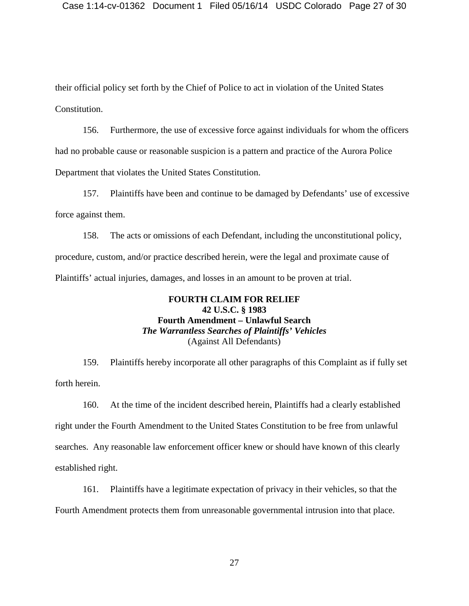their official policy set forth by the Chief of Police to act in violation of the United States Constitution.

156. Furthermore, the use of excessive force against individuals for whom the officers had no probable cause or reasonable suspicion is a pattern and practice of the Aurora Police Department that violates the United States Constitution.

157. Plaintiffs have been and continue to be damaged by Defendants' use of excessive force against them.

158. The acts or omissions of each Defendant, including the unconstitutional policy, procedure, custom, and/or practice described herein, were the legal and proximate cause of Plaintiffs' actual injuries, damages, and losses in an amount to be proven at trial.

## **FOURTH CLAIM FOR RELIEF 42 U.S.C. § 1983 Fourth Amendment – Unlawful Search** *The Warrantless Searches of Plaintiffs' Vehicles* (Against All Defendants)

159. Plaintiffs hereby incorporate all other paragraphs of this Complaint as if fully set forth herein.

160. At the time of the incident described herein, Plaintiffs had a clearly established right under the Fourth Amendment to the United States Constitution to be free from unlawful searches. Any reasonable law enforcement officer knew or should have known of this clearly established right.

161. Plaintiffs have a legitimate expectation of privacy in their vehicles, so that the Fourth Amendment protects them from unreasonable governmental intrusion into that place.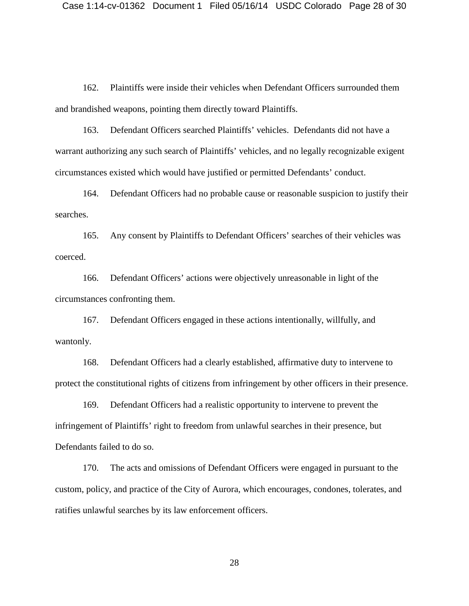162. Plaintiffs were inside their vehicles when Defendant Officers surrounded them and brandished weapons, pointing them directly toward Plaintiffs.

163. Defendant Officers searched Plaintiffs' vehicles. Defendants did not have a warrant authorizing any such search of Plaintiffs' vehicles, and no legally recognizable exigent circumstances existed which would have justified or permitted Defendants' conduct.

164. Defendant Officers had no probable cause or reasonable suspicion to justify their searches.

165. Any consent by Plaintiffs to Defendant Officers' searches of their vehicles was coerced.

166. Defendant Officers' actions were objectively unreasonable in light of the circumstances confronting them.

167. Defendant Officers engaged in these actions intentionally, willfully, and wantonly.

168. Defendant Officers had a clearly established, affirmative duty to intervene to protect the constitutional rights of citizens from infringement by other officers in their presence.

169. Defendant Officers had a realistic opportunity to intervene to prevent the infringement of Plaintiffs' right to freedom from unlawful searches in their presence, but Defendants failed to do so.

170. The acts and omissions of Defendant Officers were engaged in pursuant to the custom, policy, and practice of the City of Aurora, which encourages, condones, tolerates, and ratifies unlawful searches by its law enforcement officers.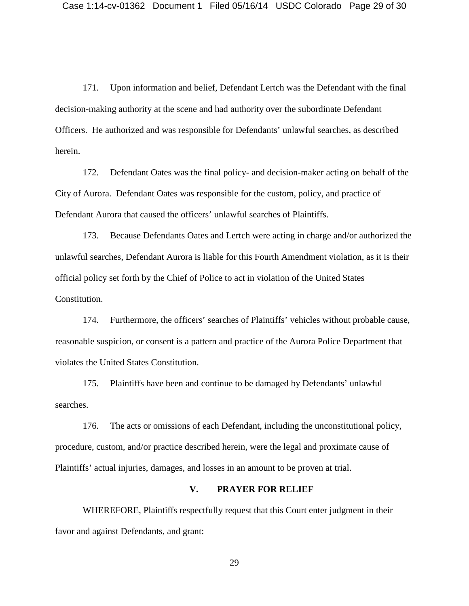171. Upon information and belief, Defendant Lertch was the Defendant with the final decision-making authority at the scene and had authority over the subordinate Defendant Officers. He authorized and was responsible for Defendants' unlawful searches, as described herein.

172. Defendant Oates was the final policy- and decision-maker acting on behalf of the City of Aurora. Defendant Oates was responsible for the custom, policy, and practice of Defendant Aurora that caused the officers' unlawful searches of Plaintiffs.

173. Because Defendants Oates and Lertch were acting in charge and/or authorized the unlawful searches, Defendant Aurora is liable for this Fourth Amendment violation, as it is their official policy set forth by the Chief of Police to act in violation of the United States Constitution.

174. Furthermore, the officers' searches of Plaintiffs' vehicles without probable cause, reasonable suspicion, or consent is a pattern and practice of the Aurora Police Department that violates the United States Constitution.

175. Plaintiffs have been and continue to be damaged by Defendants' unlawful searches.

176. The acts or omissions of each Defendant, including the unconstitutional policy, procedure, custom, and/or practice described herein, were the legal and proximate cause of Plaintiffs' actual injuries, damages, and losses in an amount to be proven at trial.

### **V. PRAYER FOR RELIEF**

WHEREFORE, Plaintiffs respectfully request that this Court enter judgment in their favor and against Defendants, and grant: